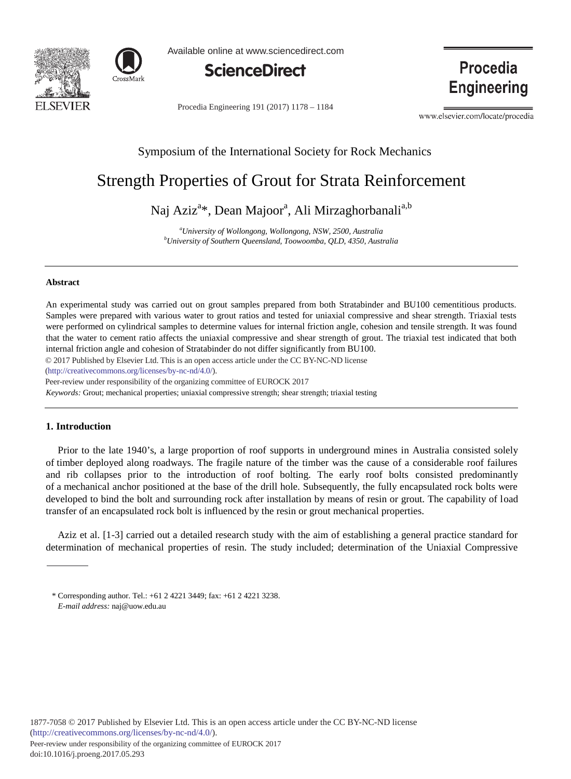



Available online at www.sciencedirect.com



Procedia Engineering 191 (2017) 1178 - 1184

Procedia **Engineering** 

www.elsevier.com/locate/procedia

# Symposium of the International Society for Rock Mechanics

# Strength Properties of Grout for Strata Reinforcement

Naj Aziz<sup>a</sup>\*, Dean Majoor<sup>a</sup>, Ali Mirzaghorbanali<sup>a,b</sup>

*a University of Wollongong, Wollongong, NSW, 2500, Australia b University of Southern Queensland, Toowoomba, QLD, 4350, Australia*

## **Abstract**

An experimental study was carried out on grout samples prepared from both Stratabinder and BU100 cementitious products. Samples were prepared with various water to grout ratios and tested for uniaxial compressive and shear strength. Triaxial tests were performed on cylindrical samples to determine values for internal friction angle, cohesion and tensile strength. It was found that the water to cement ratio affects the uniaxial compressive and shear strength of grout. The triaxial test indicated that both internal friction angle and cohesion of Stratabinder do not differ significantly from BU100.

© 2017 Published by Elsevier Ltd. This is an open access article under the CC BY-NC-ND license

(http://creativecommons.org/licenses/by-nc-nd/4.0/).

Peer-review under responsibility of the organizing committee of EUROCK 2017

*Keywords:* Grout; mechanical properties; uniaxial compressive strength; shear strength; triaxial testing

# **1. Introduction**

Prior to the late 1940's, a large proportion of roof supports in underground mines in Australia consisted solely of timber deployed along roadways. The fragile nature of the timber was the cause of a considerable roof failures and rib collapses prior to the introduction of roof bolting. The early roof bolts consisted predominantly of a mechanical anchor positioned at the base of the drill hole. Subsequently, the fully encapsulated rock bolts were developed to bind the bolt and surrounding rock after installation by means of resin or grout. The capability of load transfer of an encapsulated rock bolt is influenced by the resin or grout mechanical properties.

Aziz et al. [1-3] carried out a detailed research study with the aim of establishing a general practice standard for determination of mechanical properties of resin. The study included; determination of the Uniaxial Compressive

<sup>\*</sup> Corresponding author. Tel.: +61 2 4221 3449; fax: +61 2 4221 3238. *E-mail address:* naj@uow.edu.au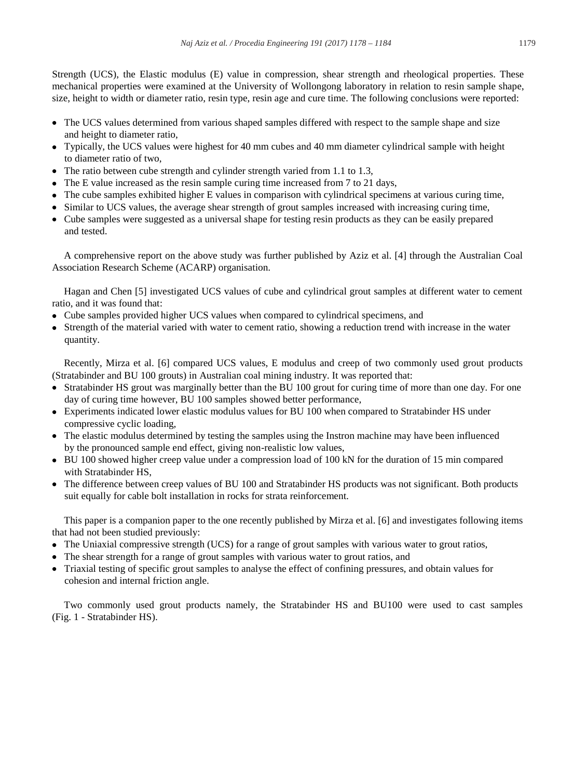Strength (UCS), the Elastic modulus (E) value in compression, shear strength and rheological properties. These mechanical properties were examined at the University of Wollongong laboratory in relation to resin sample shape, size, height to width or diameter ratio, resin type, resin age and cure time. The following conclusions were reported:

- The UCS values determined from various shaped samples differed with respect to the sample shape and size and height to diameter ratio,
- Typically, the UCS values were highest for 40 mm cubes and 40 mm diameter cylindrical sample with height to diameter ratio of two,
- The ratio between cube strength and cylinder strength varied from 1.1 to 1.3,
- The E value increased as the resin sample curing time increased from 7 to 21 days,
- The cube samples exhibited higher E values in comparison with cylindrical specimens at various curing time,
- Similar to UCS values, the average shear strength of grout samples increased with increasing curing time,
- Cube samples were suggested as a universal shape for testing resin products as they can be easily prepared and tested.

A comprehensive report on the above study was further published by Aziz et al. [4] through the Australian Coal Association Research Scheme (ACARP) organisation.

Hagan and Chen [5] investigated UCS values of cube and cylindrical grout samples at different water to cement ratio, and it was found that:

- Cube samples provided higher UCS values when compared to cylindrical specimens, and
- Strength of the material varied with water to cement ratio, showing a reduction trend with increase in the water quantity.

Recently, Mirza et al. [6] compared UCS values, E modulus and creep of two commonly used grout products (Stratabinder and BU 100 grouts) in Australian coal mining industry. It was reported that:

- Stratabinder HS grout was marginally better than the BU 100 grout for curing time of more than one day. For one day of curing time however, BU 100 samples showed better performance,
- Experiments indicated lower elastic modulus values for BU 100 when compared to Stratabinder HS under compressive cyclic loading,
- The elastic modulus determined by testing the samples using the Instron machine may have been influenced by the pronounced sample end effect, giving non-realistic low values,
- BU 100 showed higher creep value under a compression load of 100 kN for the duration of 15 min compared with Stratabinder HS,
- The difference between creep values of BU 100 and Stratabinder HS products was not significant. Both products suit equally for cable bolt installation in rocks for strata reinforcement.

This paper is a companion paper to the one recently published by Mirza et al. [6] and investigates following items that had not been studied previously:

- The Uniaxial compressive strength (UCS) for a range of grout samples with various water to grout ratios,
- The shear strength for a range of grout samples with various water to grout ratios, and
- Triaxial testing of specific grout samples to analyse the effect of confining pressures, and obtain values for cohesion and internal friction angle.

Two commonly used grout products namely, the Stratabinder HS and BU100 were used to cast samples (Fig. 1 - Stratabinder HS).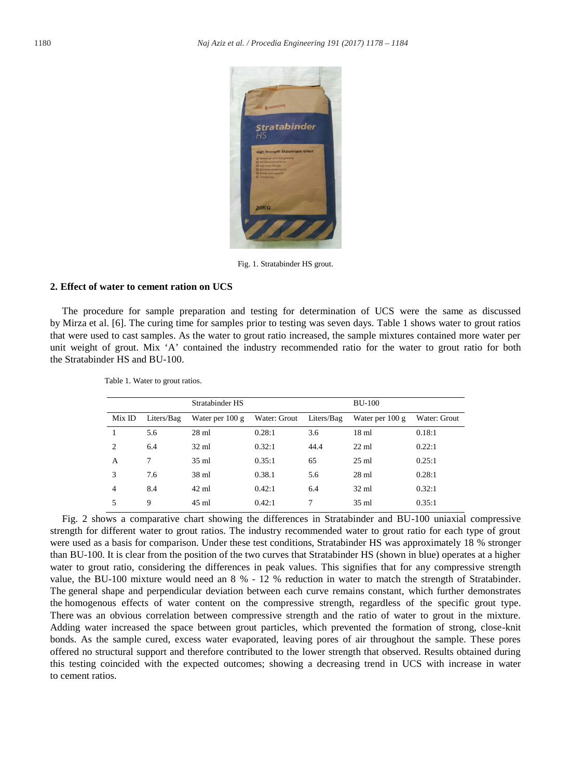

Fig. 1. Stratabinder HS grout.

#### **2. Effect of water to cement ration on UCS**

The procedure for sample preparation and testing for determination of UCS were the same as discussed by Mirza et al. [6]. The curing time for samples prior to testing was seven days. Table 1 shows water to grout ratios that were used to cast samples. As the water to grout ratio increased, the sample mixtures contained more water per unit weight of grout. Mix 'A' contained the industry recommended ratio for the water to grout ratio for both the Stratabinder HS and BU-100.

|                |            | Stratabinder HS   |              |            | <b>BU-100</b>     |              |
|----------------|------------|-------------------|--------------|------------|-------------------|--------------|
| MixID          | Liters/Bag | Water per $100 g$ | Water: Grout | Liters/Bag | Water per $100 g$ | Water: Grout |
|                | 5.6        | $28 \text{ ml}$   | 0.28:1       | 3.6        | $18 \text{ ml}$   | 0.18:1       |
| $\overline{c}$ | 6.4        | $32 \text{ ml}$   | 0.32:1       | 44.4       | $22 \text{ ml}$   | 0.22:1       |
| A              | 7          | $35 \text{ ml}$   | 0.35:1       | 65         | $25 \text{ ml}$   | 0.25:1       |
| 3              | 7.6        | $38 \text{ ml}$   | 0.38.1       | 5.6        | $28 \text{ ml}$   | 0.28:1       |
| $\overline{4}$ | 8.4        | $42 \text{ ml}$   | 0.42:1       | 6.4        | $32 \text{ ml}$   | 0.32:1       |
| 5              | 9          | 45 ml             | 0.42:1       | 7          | $35 \text{ ml}$   | 0.35:1       |

Table 1. Water to grout ratios.

Fig. 2 shows a comparative chart showing the differences in Stratabinder and BU-100 uniaxial compressive strength for different water to grout ratios. The industry recommended water to grout ratio for each type of grout were used as a basis for comparison. Under these test conditions, Stratabinder HS was approximately 18 % stronger than BU-100. It is clear from the position of the two curves that Stratabinder HS (shown in blue) operates at a higher water to grout ratio, considering the differences in peak values. This signifies that for any compressive strength value, the BU-100 mixture would need an 8 % - 12 % reduction in water to match the strength of Stratabinder. The general shape and perpendicular deviation between each curve remains constant, which further demonstrates the homogenous effects of water content on the compressive strength, regardless of the specific grout type. There was an obvious correlation between compressive strength and the ratio of water to grout in the mixture. Adding water increased the space between grout particles, which prevented the formation of strong, close-knit bonds. As the sample cured, excess water evaporated, leaving pores of air throughout the sample. These pores offered no structural support and therefore contributed to the lower strength that observed. Results obtained during this testing coincided with the expected outcomes; showing a decreasing trend in UCS with increase in water to cement ratios.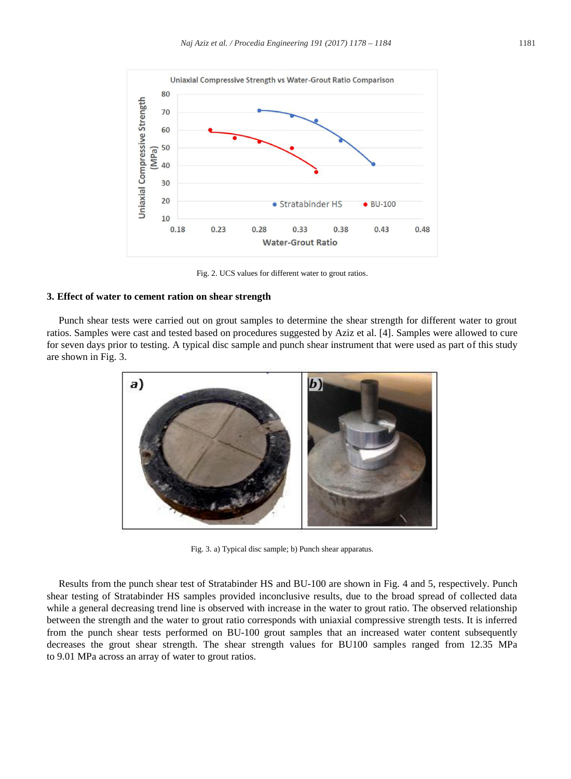

Fig. 2. UCS values for different water to grout ratios.

# **3. Effect of water to cement ration on shear strength**

Punch shear tests were carried out on grout samples to determine the shear strength for different water to grout ratios. Samples were cast and tested based on procedures suggested by Aziz et al. [4]. Samples were allowed to cure for seven days prior to testing. A typical disc sample and punch shear instrument that were used as part of this study are shown in Fig. 3.



Fig. 3. a) Typical disc sample; b) Punch shear apparatus.

Results from the punch shear test of Stratabinder HS and BU-100 are shown in Fig. 4 and 5, respectively. Punch shear testing of Stratabinder HS samples provided inconclusive results, due to the broad spread of collected data while a general decreasing trend line is observed with increase in the water to grout ratio. The observed relationship between the strength and the water to grout ratio corresponds with uniaxial compressive strength tests. It is inferred from the punch shear tests performed on BU-100 grout samples that an increased water content subsequently decreases the grout shear strength. The shear strength values for BU100 samples ranged from 12.35 MPa to 9.01 MPa across an array of water to grout ratios.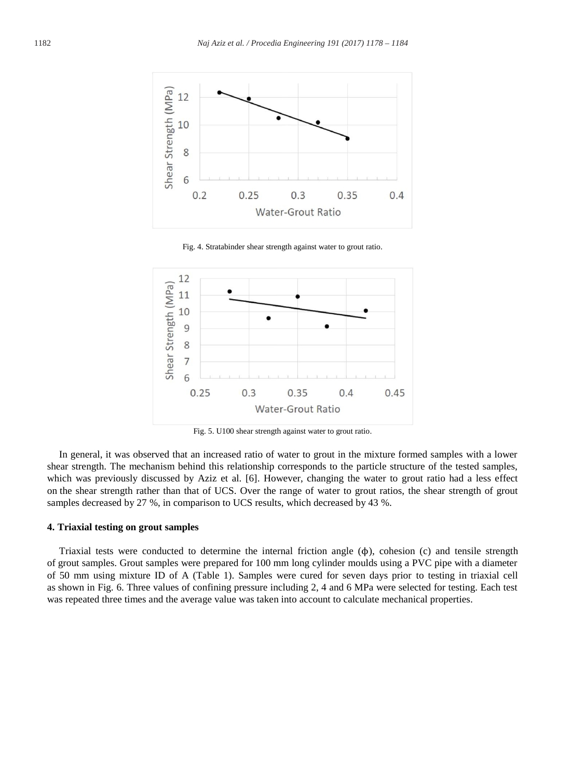

Fig. 4. Stratabinder shear strength against water to grout ratio.



Fig. 5. U100 shear strength against water to grout ratio.

In general, it was observed that an increased ratio of water to grout in the mixture formed samples with a lower shear strength. The mechanism behind this relationship corresponds to the particle structure of the tested samples, which was previously discussed by Aziz et al. [6]. However, changing the water to grout ratio had a less effect on the shear strength rather than that of UCS. Over the range of water to grout ratios, the shear strength of grout samples decreased by 27 %, in comparison to UCS results, which decreased by 43 %.

## **4. Triaxial testing on grout samples**

Triaxial tests were conducted to determine the internal friction angle (ϕ), cohesion (c) and tensile strength of grout samples. Grout samples were prepared for 100 mm long cylinder moulds using a PVC pipe with a diameter of 50 mm using mixture ID of A (Table 1). Samples were cured for seven days prior to testing in triaxial cell as shown in Fig. 6. Three values of confining pressure including 2, 4 and 6 MPa were selected for testing. Each test was repeated three times and the average value was taken into account to calculate mechanical properties.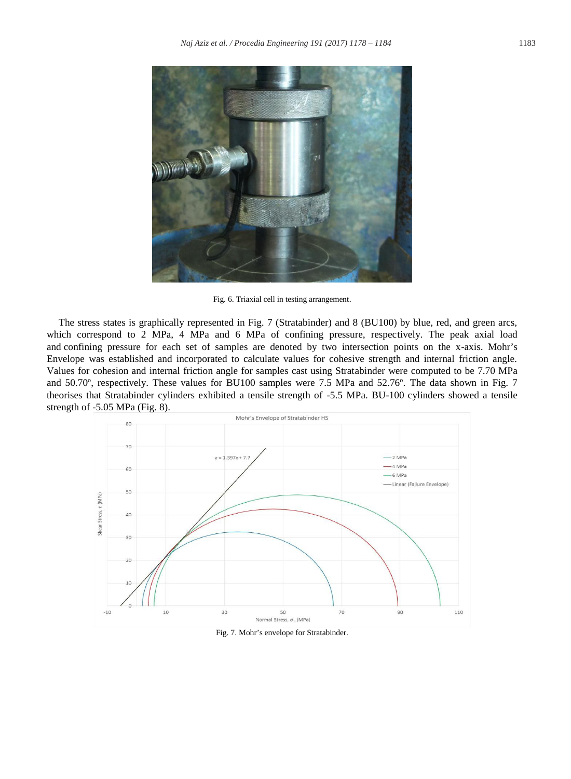

Fig. 6. Triaxial cell in testing arrangement.

The stress states is graphically represented in Fig. 7 (Stratabinder) and 8 (BU100) by blue, red, and green arcs, which correspond to 2 MPa, 4 MPa and 6 MPa of confining pressure, respectively. The peak axial load and confining pressure for each set of samples are denoted by two intersection points on the x-axis. Mohr's Envelope was established and incorporated to calculate values for cohesive strength and internal friction angle. Values for cohesion and internal friction angle for samples cast using Stratabinder were computed to be 7.70 MPa and 50.70º, respectively. These values for BU100 samples were 7.5 MPa and 52.76º. The data shown in Fig. 7 theorises that Stratabinder cylinders exhibited a tensile strength of -5.5 MPa. BU-100 cylinders showed a tensile strength of -5.05 MPa (Fig. 8).



Fig. 7. Mohr's envelope for Stratabinder.